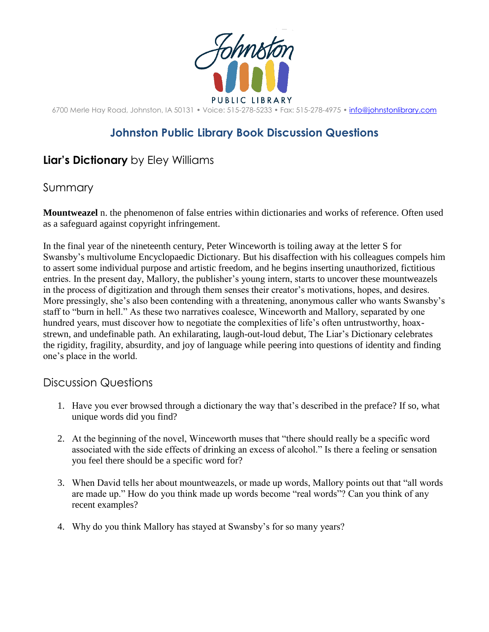

6700 Merle Hay Road, Johnston, IA 50131 • Voice: 515-278-5233 • Fax: 515-278-4975 • [info@johnstonlibrary.com](mailto:info@johnstonlibrary.com)

## **Johnston Public Library Book Discussion Questions**

## **Liar's Dictionary** by Eley Williams

## Summary

**Mountweazel** n. the phenomenon of false entries within dictionaries and works of reference. Often used as a safeguard against copyright infringement.

In the final year of the nineteenth century, Peter Winceworth is toiling away at the letter S for Swansby's multivolume Encyclopaedic Dictionary. But his disaffection with his colleagues compels him to assert some individual purpose and artistic freedom, and he begins inserting unauthorized, fictitious entries. In the present day, Mallory, the publisher's young intern, starts to uncover these mountweazels in the process of digitization and through them senses their creator's motivations, hopes, and desires. More pressingly, she's also been contending with a threatening, anonymous caller who wants Swansby's staff to "burn in hell." As these two narratives coalesce, Winceworth and Mallory, separated by one hundred years, must discover how to negotiate the complexities of life's often untrustworthy, hoaxstrewn, and undefinable path. An exhilarating, laugh-out-loud debut, The Liar's Dictionary celebrates the rigidity, fragility, absurdity, and joy of language while peering into questions of identity and finding one's place in the world.

## Discussion Questions

- 1. Have you ever browsed through a dictionary the way that's described in the preface? If so, what unique words did you find?
- 2. At the beginning of the novel, Winceworth muses that "there should really be a specific word associated with the side effects of drinking an excess of alcohol." Is there a feeling or sensation you feel there should be a specific word for?
- 3. When David tells her about mountweazels, or made up words, Mallory points out that "all words are made up." How do you think made up words become "real words"? Can you think of any recent examples?
- 4. Why do you think Mallory has stayed at Swansby's for so many years?